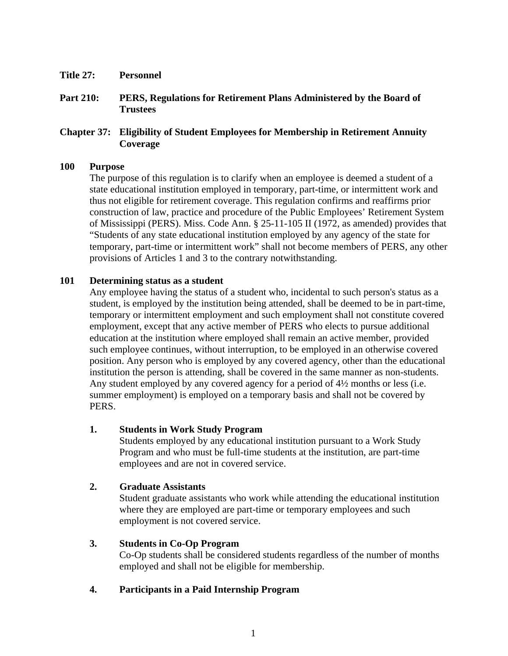- **Title 27: Personnel**
- **Part 210: PERS, Regulations for Retirement Plans Administered by the Board of Trustees**

# **Chapter 37: Eligibility of Student Employees for Membership in Retirement Annuity Coverage**

#### **100 Purpose**

The purpose of this regulation is to clarify when an employee is deemed a student of a state educational institution employed in temporary, part-time, or intermittent work and thus not eligible for retirement coverage. This regulation confirms and reaffirms prior construction of law, practice and procedure of the Public Employees' Retirement System of Mississippi (PERS). Miss. Code Ann. § 25-11-105 II (1972, as amended) provides that "Students of any state educational institution employed by any agency of the state for temporary, part-time or intermittent work" shall not become members of PERS, any other provisions of Articles 1 and 3 to the contrary notwithstanding.

## **101 Determining status as a student**

Any employee having the status of a student who, incidental to such person's status as a student, is employed by the institution being attended, shall be deemed to be in part-time, temporary or intermittent employment and such employment shall not constitute covered employment, except that any active member of PERS who elects to pursue additional education at the institution where employed shall remain an active member, provided such employee continues, without interruption, to be employed in an otherwise covered position. Any person who is employed by any covered agency, other than the educational institution the person is attending, shall be covered in the same manner as non-students. Any student employed by any covered agency for a period of 4½ months or less (i.e. summer employment) is employed on a temporary basis and shall not be covered by PERS.

## **1. Students in Work Study Program**

Students employed by any educational institution pursuant to a Work Study Program and who must be full-time students at the institution, are part-time employees and are not in covered service.

## **2. Graduate Assistants**

Student graduate assistants who work while attending the educational institution where they are employed are part-time or temporary employees and such employment is not covered service.

## **3. Students in Co-Op Program**

Co-Op students shall be considered students regardless of the number of months employed and shall not be eligible for membership.

# **4. Participants in a Paid Internship Program**